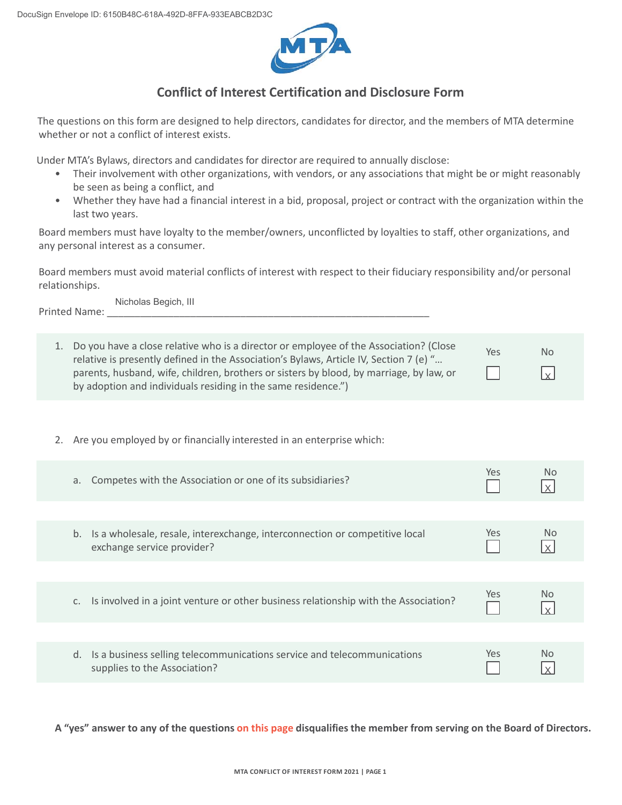

## **Conflict of Interest Certification and Disclosure Form**

The questions on this form are designed to help directors, candidates for director, and the members of MTA determine whether or not a conflict of interest exists.

Under MTA's Bylaws, directors and candidates for director are required to annually disclose:

- Their involvement with other organizations, with vendors, or any associations that might be or might reasonably be seen as being a conflict, and
- Whether they have had a financial interest in a bid, proposal, project or contract with the organization within the last two years.

Board members must have loyalty to the member/owners, unconflicted by loyalties to staff, other organizations, and any personal interest as a consumer.

Board members must avoid material conflicts of interest with respect to their fiduciary responsibility and/or personal relationships.

Printed Name: Nicholas Begich, III

| Do you have a close relative who is a director or employee of the Association? (Close<br>relative is presently defined in the Association's Bylaws, Article IV, Section 7 (e) "<br>parents, husband, wife, children, brothers or sisters by blood, by marriage, by law, or<br>by adoption and individuals residing in the same residence.") | Yes | <b>No</b><br>$\vert x \vert$ |
|---------------------------------------------------------------------------------------------------------------------------------------------------------------------------------------------------------------------------------------------------------------------------------------------------------------------------------------------|-----|------------------------------|

2. Are you employed by or financially interested in an enterprise which:

| Competes with the Association or one of its subsidiaries?<br>a.                                                 | Yes. | Nο             |
|-----------------------------------------------------------------------------------------------------------------|------|----------------|
|                                                                                                                 |      |                |
| Is a wholesale, resale, interexchange, interconnection or competitive local<br>b.<br>exchange service provider? | Yes  | No.            |
|                                                                                                                 |      |                |
| Is involved in a joint venture or other business relationship with the Association?                             | Yes  | <b>No</b>      |
|                                                                                                                 |      |                |
| Is a business selling telecommunications service and telecommunications<br>d.<br>supplies to the Association?   | Yes. | N <sub>0</sub> |

**A "yes" answer to any of the questions on this page disqualifies the member from serving on the Board of Directors.**